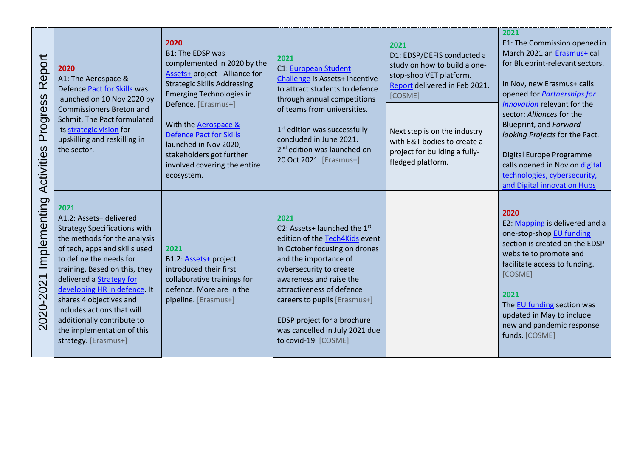| Report<br>Progress<br>Activities                                  | 2020<br>A1: The Aerospace &<br>Defence Pact for Skills was<br>launched on 10 Nov 2020 by<br><b>Commissioners Breton and</b><br>Schmit. The Pact formulated<br>its strategic vision for<br>upskilling and reskilling in<br>the sector.                                                                                                                                                                        | 2020<br><b>B1: The EDSP was</b><br>complemented in 2020 by the<br><b>Assets+</b> project - Alliance for<br><b>Strategic Skills Addressing</b><br><b>Emerging Technologies in</b><br>Defence. [Erasmus+]<br>With the Aerospace &<br><b>Defence Pact for Skills</b><br>launched in Nov 2020,<br>stakeholders got further<br>involved covering the entire<br>ecosystem. | 2021<br><b>C1: European Student</b><br>Challenge is Assets+ incentive<br>to attract students to defence<br>through annual competitions<br>of teams from universities.<br>$1st$ edition was successfully<br>concluded in June 2021.<br>2 <sup>nd</sup> edition was launched on<br>20 Oct 2021. [Erasmus+]                                       | 2021<br>D1: EDSP/DEFIS conducted a<br>study on how to build a one-<br>stop-shop VET platform.<br>Report delivered in Feb 2021.<br>[COSME]<br>Next step is on the industry<br>with E&T bodies to create a<br>project for building a fully-<br>fledged platform. | 2021<br>E1: The Commission opened in<br>March 2021 an Erasmus+ call<br>for Blueprint-relevant sectors.<br>In Nov, new Erasmus+ calls<br>opened for Partnerships for<br>Innovation relevant for the<br>sector: Alliances for the<br>Blueprint, and Forward-<br>looking Projects for the Pact.<br>Digital Europe Programme<br>calls opened in Nov on digital<br>technologies, cybersecurity,<br>and Digital innovation Hubs |
|-------------------------------------------------------------------|--------------------------------------------------------------------------------------------------------------------------------------------------------------------------------------------------------------------------------------------------------------------------------------------------------------------------------------------------------------------------------------------------------------|----------------------------------------------------------------------------------------------------------------------------------------------------------------------------------------------------------------------------------------------------------------------------------------------------------------------------------------------------------------------|------------------------------------------------------------------------------------------------------------------------------------------------------------------------------------------------------------------------------------------------------------------------------------------------------------------------------------------------|----------------------------------------------------------------------------------------------------------------------------------------------------------------------------------------------------------------------------------------------------------------|---------------------------------------------------------------------------------------------------------------------------------------------------------------------------------------------------------------------------------------------------------------------------------------------------------------------------------------------------------------------------------------------------------------------------|
| Implementing<br>$\blacktriangledown$<br>20-202<br>$\overline{SO}$ | 2021<br>A1.2: Assets+ delivered<br><b>Strategy Specifications with</b><br>the methods for the analysis<br>of tech, apps and skills used<br>to define the needs for<br>training. Based on this, they<br>delivered a Strategy for<br>developing HR in defence. It<br>shares 4 objectives and<br>includes actions that will<br>additionally contribute to<br>the implementation of this<br>strategy. [Erasmus+] | 2021<br>B1.2: Assets+ project<br>introduced their first<br>collaborative trainings for<br>defence. More are in the<br>pipeline. [Erasmus+]                                                                                                                                                                                                                           | 2021<br>C2: Assets+ launched the $1st$<br>edition of the Tech4Kids event<br>in October focusing on drones<br>and the importance of<br>cybersecurity to create<br>awareness and raise the<br>attractiveness of defence<br>careers to pupils [Erasmus+]<br>EDSP project for a brochure<br>was cancelled in July 2021 due<br>to covid-19. [COSME] |                                                                                                                                                                                                                                                                | 2020<br>E2: Mapping is delivered and a<br>one-stop-shop EU funding<br>section is created on the EDSP<br>website to promote and<br>facilitate access to funding.<br>[COSME]<br>2021<br>The EU funding section was<br>updated in May to include<br>new and pandemic response<br>funds. [COSME]                                                                                                                              |